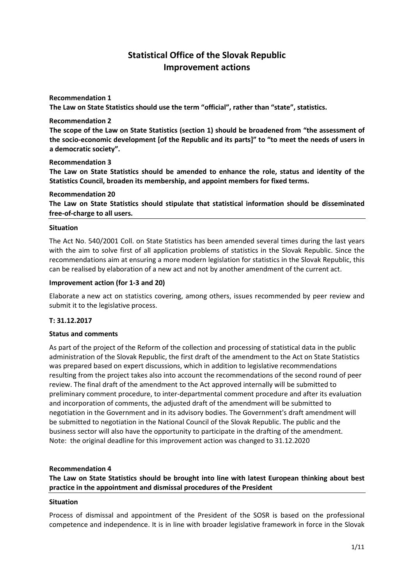# **Statistical Office of the Slovak Republic Improvement actions**

### **Recommendation 1**

**The Law on State Statistics should use the term "official", rather than "state", statistics.** 

#### **Recommendation 2**

**The scope of the Law on State Statistics (section 1) should be broadened from "the assessment of the socio-economic development [of the Republic and its parts]" to "to meet the needs of users in a democratic society".** 

#### **Recommendation 3**

**The Law on State Statistics should be amended to enhance the role, status and identity of the Statistics Council, broaden its membership, and appoint members for fixed terms.**

# **Recommendation 20**

**The Law on State Statistics should stipulate that statistical information should be disseminated free-of-charge to all users.**

#### **Situation**

The Act No. 540/2001 Coll. on State Statistics has been amended several times during the last years with the aim to solve first of all application problems of statistics in the Slovak Republic. Since the recommendations aim at ensuring a more modern legislation for statistics in the Slovak Republic, this can be realised by elaboration of a new act and not by another amendment of the current act.

#### **Improvement action (for 1-3 and 20)**

Elaborate a new act on statistics covering, among others, issues recommended by peer review and submit it to the legislative process.

### **T: 31.12.2017**

### **Status and comments**

As part of the project of the Reform of the collection and processing of statistical data in the public administration of the Slovak Republic, the first draft of the amendment to the Act on State Statistics was prepared based on expert discussions, which in addition to legislative recommendations resulting from the project takes also into account the recommendations of the second round of peer review. The final draft of the amendment to the Act approved internally will be submitted to preliminary comment procedure, to inter-departmental comment procedure and after its evaluation and incorporation of comments, the adjusted draft of the amendment will be submitted to negotiation in the Government and in its advisory bodies. The Government's draft amendment will be submitted to negotiation in the National Council of the Slovak Republic. The public and the business sector will also have the opportunity to participate in the drafting of the amendment. Note: the original deadline for this improvement action was changed to 31.12.2020

### **Recommendation 4**

# **The Law on State Statistics should be brought into line with latest European thinking about best practice in the appointment and dismissal procedures of the President**

### **Situation**

Process of dismissal and appointment of the President of the SOSR is based on the professional competence and independence. It is in line with broader legislative framework in force in the Slovak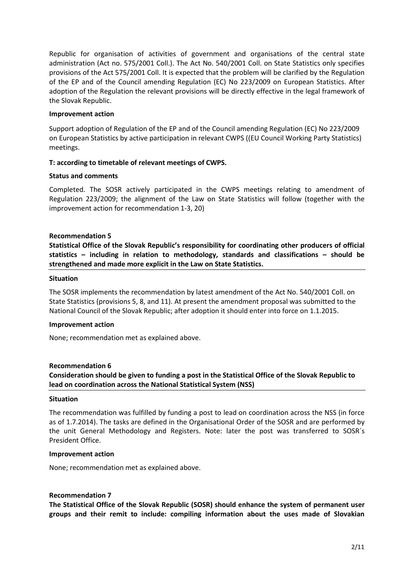Republic for organisation of activities of government and organisations of the central state administration (Act no. 575/2001 Coll.). The Act No. 540/2001 Coll. on State Statistics only specifies provisions of the Act 575/2001 Coll. It is expected that the problem will be clarified by the Regulation of the EP and of the Council amending Regulation (EC) No 223/2009 on European Statistics. After adoption of the Regulation the relevant provisions will be directly effective in the legal framework of the Slovak Republic.

### **Improvement action**

Support adoption of Regulation of the EP and of the Council amending Regulation (EC) No 223/2009 on European Statistics by active participation in relevant CWPS ((EU Council Working Party Statistics) meetings.

### **T: according to timetable of relevant meetings of CWPS.**

#### **Status and comments**

Completed. The SOSR actively participated in the CWPS meetings relating to amendment of Regulation 223/2009; the alignment of the Law on State Statistics will follow (together with the improvement action for recommendation 1-3, 20)

### **Recommendation 5**

**Statistical Office of the Slovak Republic's responsibility for coordinating other producers of official statistics – including in relation to methodology, standards and classifications – should be strengthened and made more explicit in the Law on State Statistics.**

#### **Situation**

The SOSR implements the recommendation by latest amendment of the Act No. 540/2001 Coll. on State Statistics (provisions 5, 8, and 11). At present the amendment proposal was submitted to the National Council of the Slovak Republic; after adoption it should enter into force on 1.1.2015.

#### **Improvement action**

None; recommendation met as explained above.

### **Recommendation 6**

**Consideration should be given to funding a post in the Statistical Office of the Slovak Republic to lead on coordination across the National Statistical System (NSS)**

#### **Situation**

The recommendation was fulfilled by funding a post to lead on coordination across the NSS (in force as of 1.7.2014). The tasks are defined in the Organisational Order of the SOSR and are performed by the unit General Methodology and Registers. Note: later the post was transferred to SOSR´s President Office.

#### **Improvement action**

None; recommendation met as explained above.

### **Recommendation 7**

**The Statistical Office of the Slovak Republic (SOSR) should enhance the system of permanent user groups and their remit to include: compiling information about the uses made of Slovakian**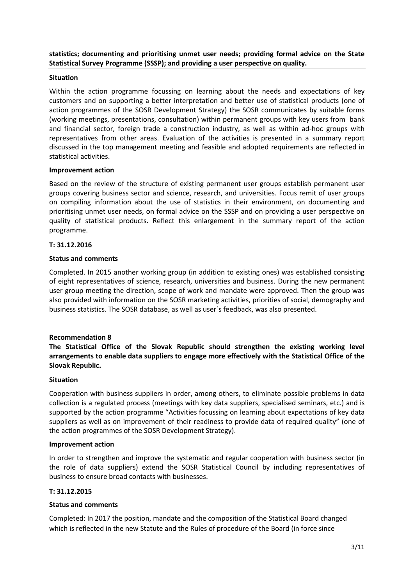# **statistics; documenting and prioritising unmet user needs; providing formal advice on the State Statistical Survey Programme (SSSP); and providing a user perspective on quality.**

### **Situation**

Within the action programme focussing on learning about the needs and expectations of key customers and on supporting a better interpretation and better use of statistical products (one of action programmes of the SOSR Development Strategy) the SOSR communicates by suitable forms (working meetings, presentations, consultation) within permanent groups with key users from bank and financial sector, foreign trade a construction industry, as well as within ad-hoc groups with representatives from other areas. Evaluation of the activities is presented in a summary report discussed in the top management meeting and feasible and adopted requirements are reflected in statistical activities.

### **Improvement action**

Based on the review of the structure of existing permanent user groups establish permanent user groups covering business sector and science, research, and universities. Focus remit of user groups on compiling information about the use of statistics in their environment, on documenting and prioritising unmet user needs, on formal advice on the SSSP and on providing a user perspective on quality of statistical products. Reflect this enlargement in the summary report of the action programme.

### **T: 31.12.2016**

# **Status and comments**

Completed. In 2015 another working group (in addition to existing ones) was established consisting of eight representatives of science, research, universities and business. During the new permanent user group meeting the direction, scope of work and mandate were approved. Then the group was also provided with information on the SOSR marketing activities, priorities of social, demography and business statistics. The SOSR database, as well as user´s feedback, was also presented.

# **Recommendation 8**

**The Statistical Office of the Slovak Republic should strengthen the existing working level arrangements to enable data suppliers to engage more effectively with the Statistical Office of the Slovak Republic.**

### **Situation**

Cooperation with business suppliers in order, among others, to eliminate possible problems in data collection is a regulated process (meetings with key data suppliers, specialised seminars, etc.) and is supported by the action programme "Activities focussing on learning about expectations of key data suppliers as well as on improvement of their readiness to provide data of required quality" (one of the action programmes of the SOSR Development Strategy).

### **Improvement action**

In order to strengthen and improve the systematic and regular cooperation with business sector (in the role of data suppliers) extend the SOSR Statistical Council by including representatives of business to ensure broad contacts with businesses.

### **T: 31.12.2015**

### **Status and comments**

Completed: In 2017 the position, mandate and the composition of the Statistical Board changed which is reflected in the new Statute and the Rules of procedure of the Board (in force since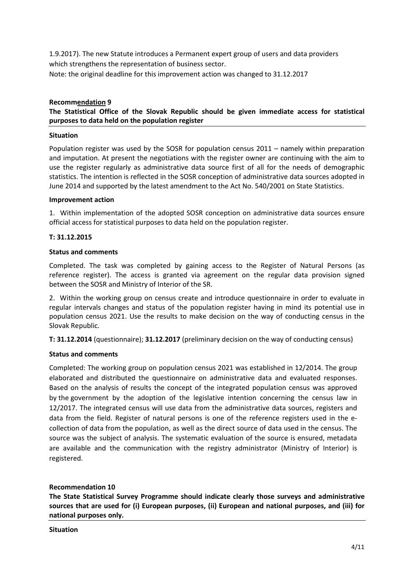1.9.2017). The new Statute introduces a Permanent expert group of users and data providers which strengthens the representation of business sector. Note: the original deadline for this improvement action was changed to 31.12.2017

### **Recommendation 9**

**The Statistical Office of the Slovak Republic should be given immediate access for statistical purposes to data held on the population register**

### **Situation**

Population register was used by the SOSR for population census 2011 – namely within preparation and imputation. At present the negotiations with the register owner are continuing with the aim to use the register regularly as administrative data source first of all for the needs of demographic statistics. The intention is reflected in the SOSR conception of administrative data sources adopted in June 2014 and supported by the latest amendment to the Act No. 540/2001 on State Statistics.

#### **Improvement action**

1. Within implementation of the adopted SOSR conception on administrative data sources ensure official access for statistical purposes to data held on the population register.

### **T: 31.12.2015**

### **Status and comments**

Completed. The task was completed by gaining access to the Register of Natural Persons (as reference register). The access is granted via agreement on the regular data provision signed between the SOSR and Ministry of Interior of the SR.

2. Within the working group on census create and introduce questionnaire in order to evaluate in regular intervals changes and status of the population register having in mind its potential use in population census 2021. Use the results to make decision on the way of conducting census in the Slovak Republic.

**T: 31.12.2014** (questionnaire); **31.12.2017** (preliminary decision on the way of conducting census)

### **Status and comments**

Completed: The working group on population census 2021 was established in 12/2014. The group elaborated and distributed the questionnaire on administrative data and evaluated responses. Based on the analysis of results the concept of the integrated population census was approved by the government by the adoption of the legislative intention concerning the census law in 12/2017. The integrated census will use data from the administrative data sources, registers and data from the field. Register of natural persons is one of the reference registers used in the ecollection of data from the population, as well as the direct source of data used in the census. The source was the subject of analysis. The systematic evaluation of the source is ensured, metadata are available and the communication with the registry administrator (Ministry of Interior) is registered.

### **Recommendation 10**

**The State Statistical Survey Programme should indicate clearly those surveys and administrative sources that are used for (i) European purposes, (ii) European and national purposes, and (iii) for national purposes only.**

**Situation**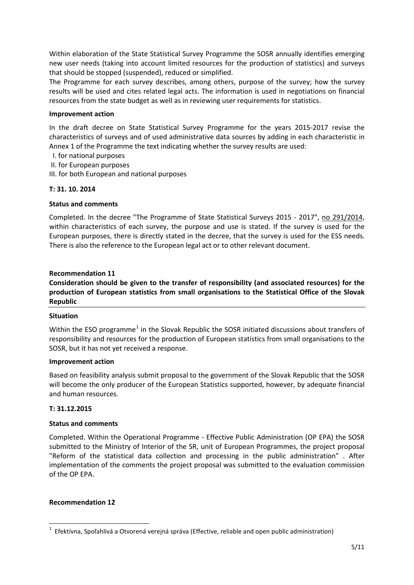Within elaboration of the State Statistical Survey Programme the SOSR annually identifies emerging new user needs (taking into account limited resources for the production of statistics) and surveys that should be stopped (suspended), reduced or simplified.

The Programme for each survey describes, among others, purpose of the survey; how the survey results will be used and cites related legal acts. The information is used in negotiations on financial resources from the state budget as well as in reviewing user requirements for statistics.

### **Improvement action**

In the draft decree on State Statistical Survey Programme for the years 2015-2017 revise the characteristics of surveys and of used administrative data sources by adding in each characteristic in Annex 1 of the Programme the text indicating whether the survey results are used:

- I. for national purposes
- II. for European purposes
- III. for both European and national purposes

# **T: 31. 10. 2014**

### **Status and comments**

Completed. In the decree "The Programme of State Statistical Surveys 2015 - 2017", [no 291/2014,](https://slovak.statistics.sk/wps/portal/ext/aboutus/legislation/SR/!ut/p/b1/jZDLDoIwEEW_hS_oQIuty1ZNW0J4VBqxG8PCEBIBF8bvFwkbTSzObpJzcu8McqhGbmieXds8unFobu_dbS4l1UyIkEOuJICmyZEYRiOoyAScJwB-DIdPn2XmALrihTQJCYHEi-8Bvvy9mPJTWjItcC6ixd9JrghNAVgqY9BcWbMtMQaO_-vvCVjxT8jNiK_BDPhetHZkpsb-iu69tbaGrmiD4AVRzE-_/dl4/d5/L2dJQSEvUUt3QS80SmtFL1o2X1E3SThCQjFBMDhCVjIwSTdOUjFLUVEwU0Qy/) within characteristics of each survey, the purpose and use is stated. If the survey is used for the European purposes, there is directly stated in the decree, that the survey is used for the ESS needs. There is also the reference to the European legal act or to other relevant document.

### **Recommendation 11**

# **Consideration should be given to the transfer of responsibility (and associated resources) for the production of European statistics from small organisations to the Statistical Office of the Slovak Republic**

### **Situation**

Within the ESO programme<sup>[1](#page-4-0)</sup> in the Slovak Republic the SOSR initiated discussions about transfers of responsibility and resources for the production of European statistics from small organisations to the SOSR, but it has not yet received a response.

### **Improvement action**

Based on feasibility analysis submit proposal to the government of the Slovak Republic that the SOSR will become the only producer of the European Statistics supported, however, by adequate financial and human resources.

### **T: 31.12.2015**

### **Status and comments**

Completed. Within the Operational Programme - Effective Public Administration (OP EPA) the SOSR submitted to the Ministry of Interior of the SR, unit of European Programmes, the project proposal "Reform of the statistical data collection and processing in the public administration" . After implementation of the comments the project proposal was submitted to the evaluation commission of the OP EPA.

### **Recommendation 12**

<span id="page-4-0"></span> $\overline{1}$  $1$  Efektívna, Spoľahlivá a Otvorená verejná správa (Effective, reliable and open public administration)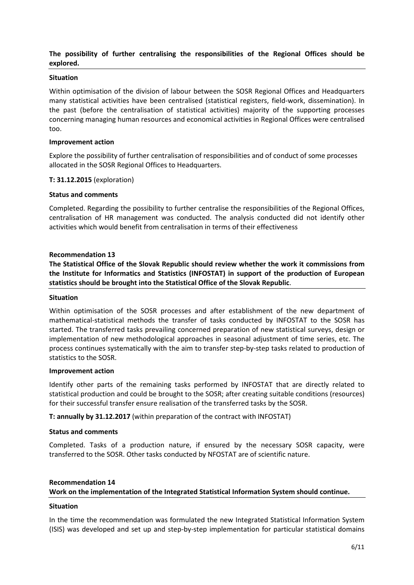## **The possibility of further centralising the responsibilities of the Regional Offices should be explored.**

### **Situation**

Within optimisation of the division of labour between the SOSR Regional Offices and Headquarters many statistical activities have been centralised (statistical registers, field-work, dissemination). In the past (before the centralisation of statistical activities) majority of the supporting processes concerning managing human resources and economical activities in Regional Offices were centralised too.

#### **Improvement action**

Explore the possibility of further centralisation of responsibilities and of conduct of some processes allocated in the SOSR Regional Offices to Headquarters.

#### **T: 31.12.2015** (exploration)

#### **Status and comments**

Completed. Regarding the possibility to further centralise the responsibilities of the Regional Offices, centralisation of HR management was conducted. The analysis conducted did not identify other activities which would benefit from centralisation in terms of their effectiveness

#### **Recommendation 13**

**The Statistical Office of the Slovak Republic should review whether the work it commissions from the Institute for Informatics and Statistics (INFOSTAT) in support of the production of European statistics should be brought into the Statistical Office of the Slovak Republic**.

#### **Situation**

Within optimisation of the SOSR processes and after establishment of the new department of mathematical-statistical methods the transfer of tasks conducted by INFOSTAT to the SOSR has started. The transferred tasks prevailing concerned preparation of new statistical surveys, design or implementation of new methodological approaches in seasonal adjustment of time series, etc. The process continues systematically with the aim to transfer step-by-step tasks related to production of statistics to the SOSR.

#### **Improvement action**

Identify other parts of the remaining tasks performed by INFOSTAT that are directly related to statistical production and could be brought to the SOSR; after creating suitable conditions (resources) for their successful transfer ensure realisation of the transferred tasks by the SOSR.

**T: annually by 31.12.2017** (within preparation of the contract with INFOSTAT)

#### **Status and comments**

Completed. Tasks of a production nature, if ensured by the necessary SOSR capacity, were transferred to the SOSR. Other tasks conducted by NFOSTAT are of scientific nature.

# **Recommendation 14 Work on the implementation of the Integrated Statistical Information System should continue.**

#### **Situation**

In the time the recommendation was formulated the new Integrated Statistical Information System (ISIS) was developed and set up and step-by-step implementation for particular statistical domains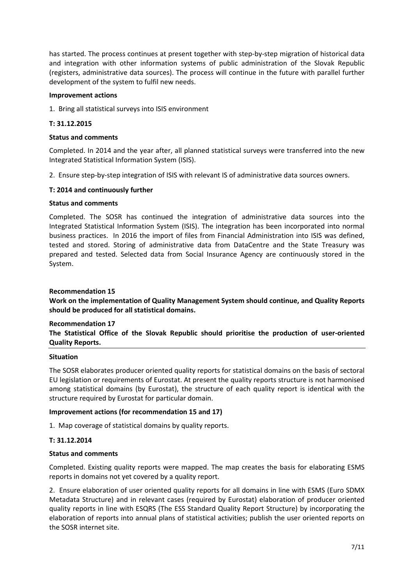has started. The process continues at present together with step-by-step migration of historical data and integration with other information systems of public administration of the Slovak Republic (registers, administrative data sources). The process will continue in the future with parallel further development of the system to fulfil new needs.

### **Improvement actions**

1. Bring all statistical surveys into ISIS environment

### **T: 31.12.2015**

### **Status and comments**

Completed. In 2014 and the year after, all planned statistical surveys were transferred into the new Integrated Statistical Information System (ISIS).

2. Ensure step-by-step integration of ISIS with relevant IS of administrative data sources owners.

### **T: 2014 and continuously further**

### **Status and comments**

Completed. The SOSR has continued the integration of administrative data sources into the Integrated Statistical Information System (ISIS). The integration has been incorporated into normal business practices. In 2016 the import of files from Financial Administration into ISIS was defined, tested and stored. Storing of administrative data from DataCentre and the State Treasury was prepared and tested. Selected data from Social Insurance Agency are continuously stored in the System.

### **Recommendation 15**

**Work on the implementation of Quality Management System should continue, and Quality Reports should be produced for all statistical domains.**

### **Recommendation 17**

**The Statistical Office of the Slovak Republic should prioritise the production of user-oriented Quality Reports.**

### **Situation**

The SOSR elaborates producer oriented quality reports for statistical domains on the basis of sectoral EU legislation or requirements of Eurostat. At present the quality reports structure is not harmonised among statistical domains (by Eurostat), the structure of each quality report is identical with the structure required by Eurostat for particular domain.

### **Improvement actions (for recommendation 15 and 17)**

1. Map coverage of statistical domains by quality reports.

### **T: 31.12.2014**

### **Status and comments**

Completed. Existing quality reports were mapped. The map creates the basis for elaborating ESMS reports in domains not yet covered by a quality report.

2. Ensure elaboration of user oriented quality reports for all domains in line with ESMS (Euro SDMX Metadata Structure) and in relevant cases (required by Eurostat) elaboration of producer oriented quality reports in line with ESQRS (The ESS Standard Quality Report Structure) by incorporating the elaboration of reports into annual plans of statistical activities; publish the user oriented reports on the SOSR internet site.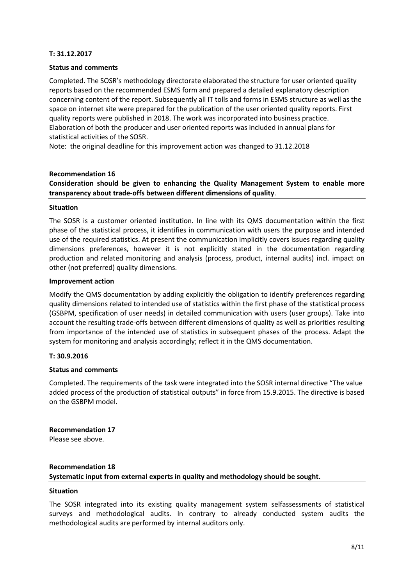### **T: 31.12.2017**

### **Status and comments**

Completed. The SOSR's methodology directorate elaborated the structure for user oriented quality reports based on the recommended ESMS form and prepared a detailed explanatory description concerning content of the report. Subsequently all IT tolls and forms in ESMS structure as well as the space on internet site were prepared for the publication of the user oriented quality reports. First quality reports were published in 2018. The work was incorporated into business practice. Elaboration of both the producer and user oriented reports was included in annual plans for statistical activities of the SOSR.

Note: the original deadline for this improvement action was changed to 31.12.2018

#### **Recommendation 16**

# **Consideration should be given to enhancing the Quality Management System to enable more transparency about trade-offs between different dimensions of quality**.

#### **Situation**

The SOSR is a customer oriented institution. In line with its QMS documentation within the first phase of the statistical process, it identifies in communication with users the purpose and intended use of the required statistics. At present the communication implicitly covers issues regarding quality dimensions preferences, however it is not explicitly stated in the documentation regarding production and related monitoring and analysis (process, product, internal audits) incl. impact on other (not preferred) quality dimensions.

#### **Improvement action**

Modify the QMS documentation by adding explicitly the obligation to identify preferences regarding quality dimensions related to intended use of statistics within the first phase of the statistical process (GSBPM, specification of user needs) in detailed communication with users (user groups). Take into account the resulting trade-offs between different dimensions of quality as well as priorities resulting from importance of the intended use of statistics in subsequent phases of the process. Adapt the system for monitoring and analysis accordingly; reflect it in the QMS documentation.

### **T: 30.9.2016**

### **Status and comments**

Completed. The requirements of the task were integrated into the SOSR internal directive "The value added process of the production of statistical outputs" in force from 15.9.2015. The directive is based on the GSBPM model.

**Recommendation 17**  Please see above.

# **Recommendation 18 Systematic input from external experts in quality and methodology should be sought.**

### **Situation**

The SOSR integrated into its existing quality management system selfassessments of statistical surveys and methodological audits. In contrary to already conducted system audits the methodological audits are performed by internal auditors only.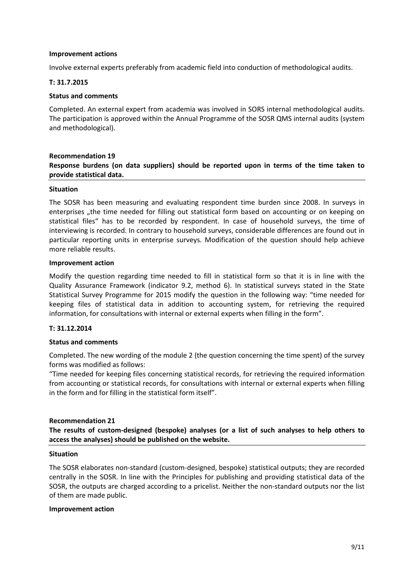### **Improvement actions**

Involve external experts preferably from academic field into conduction of methodological audits.

### **T: 31.7.2015**

#### **Status and comments**

Completed. An external expert from academia was involved in SORS internal methodological audits. The participation is approved within the Annual Programme of the SOSR QMS internal audits (system and methodological).

### **Recommendation 19 Response burdens (on data suppliers) should be reported upon in terms of the time taken to provide statistical data.**

#### **Situation**

The SOSR has been measuring and evaluating respondent time burden since 2008. In surveys in enterprises "the time needed for filling out statistical form based on accounting or on keeping on statistical files" has to be recorded by respondent. In case of household surveys, the time of interviewing is recorded. In contrary to household surveys, considerable differences are found out in particular reporting units in enterprise surveys. Modification of the question should help achieve more reliable results.

#### **Improvement action**

Modify the question regarding time needed to fill in statistical form so that it is in line with the Quality Assurance Framework (indicator 9.2, method 6). In statistical surveys stated in the State Statistical Survey Programme for 2015 modify the question in the following way: "time needed for keeping files of statistical data in addition to accounting system, for retrieving the required information, for consultations with internal or external experts when filling in the form".

### **T: 31.12.2014**

#### **Status and comments**

Completed. The new wording of the module 2 (the question concerning the time spent) of the survey forms was modified as follows:

"Time needed for keeping files concerning statistical records, for retrieving the required information from accounting or statistical records, for consultations with internal or external experts when filling in the form and for filling in the statistical form itself".

#### **Recommendation 21**

**The results of custom-designed (bespoke) analyses (or a list of such analyses to help others to access the analyses) should be published on the website.**

#### **Situation**

The SOSR elaborates non-standard (custom-designed, bespoke) statistical outputs; they are recorded centrally in the SOSR. In line with the Principles for publishing and providing statistical data of the SOSR, the outputs are charged according to a pricelist. Neither the non-standard outputs nor the list of them are made public.

#### **Improvement action**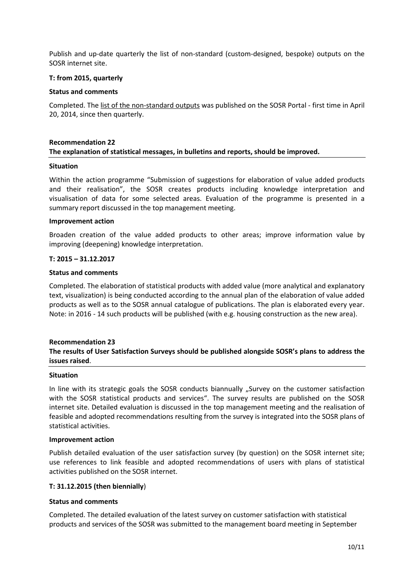Publish and up-date quarterly the list of non-standard (custom-designed, bespoke) outputs on the SOSR internet site.

### **T: from 2015, quarterly**

#### **Status and comments**

Completed. Th[e list of the non-standard outputs](https://slovak.statistics.sk/wps/wcm/connect/3bef96ef-1f3d-4daa-9aa4-82af817028fe/zoznam_nestandardnych_poziadaviek.pdf?MOD=AJPERES) was published on the SOSR Portal - first time in April 20, 2014, since then quarterly.

### **Recommendation 22 The explanation of statistical messages, in bulletins and reports, should be improved.**

#### **Situation**

Within the action programme "Submission of suggestions for elaboration of value added products and their realisation", the SOSR creates products including knowledge interpretation and visualisation of data for some selected areas. Evaluation of the programme is presented in a summary report discussed in the top management meeting.

#### **Improvement action**

Broaden creation of the value added products to other areas; improve information value by improving (deepening) knowledge interpretation.

#### **T: 2015 – 31.12.2017**

#### **Status and comments**

Completed. The elaboration of statistical products with added value (more analytical and explanatory text, visualization) is being conducted according to the annual plan of the elaboration of value added products as well as to the SOSR annual catalogue of publications. The plan is elaborated every year. Note: in 2016 - 14 such products will be published (with e.g. housing construction as the new area).

# **Recommendation 23 The results of User Satisfaction Surveys should be published alongside SOSR's plans to address the issues raised**.

#### **Situation**

In line with its strategic goals the SOSR conducts biannually "Survey on the customer satisfaction with the SOSR statistical products and services". The survey results are published on the SOSR internet site. Detailed evaluation is discussed in the top management meeting and the realisation of feasible and adopted recommendations resulting from the survey is integrated into the SOSR plans of statistical activities.

#### **Improvement action**

Publish detailed evaluation of the user satisfaction survey (by question) on the SOSR internet site; use references to link feasible and adopted recommendations of users with plans of statistical activities published on the SOSR internet.

### **T: 31.12.2015 (then biennially**)

### **Status and comments**

Completed. The detailed evaluation of the latest survey on customer satisfaction with statistical products and services of the SOSR was submitted to the management board meeting in September